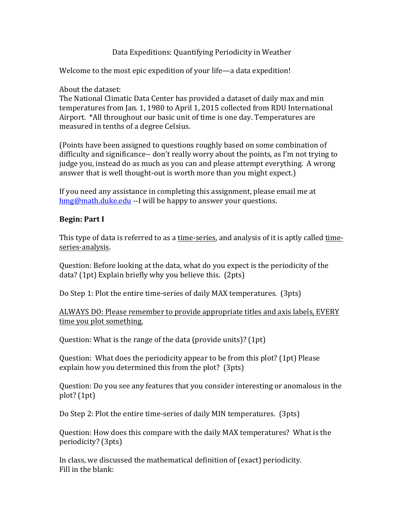#### Data Expeditions: Quantifying Periodicity in Weather

Welcome to the most epic expedition of your life—a data expedition!

About the dataset:

The National Climatic Data Center has provided a dataset of daily max and min temperatures from Jan. 1, 1980 to April 1, 2015 collected from RDU International Airport. \*All throughout our basic unit of time is one day. Temperatures are measured in tenths of a degree Celsius.

(Points have been assigned to questions roughly based on some combination of difficulty and significance-- don't really worry about the points, as I'm not trying to judge you, instead do as much as you can and please attempt everything. A wrong answer that is well thought-out is worth more than you might expect.)

If you need any assistance in completing this assignment, please email me at hmg@math.duke.edu --I will be happy to answer your questions.

## **Begin: Part I**

This type of data is referred to as a time-series, and analysis of it is aptly called timeseries-analysis. 

Question: Before looking at the data, what do you expect is the periodicity of the  $data?$  (1pt) Explain briefly why you believe this. (2pts)

Do Step 1: Plot the entire time-series of daily MAX temperatures. (3pts)

ALWAYS DO: Please remember to provide appropriate titles and axis labels, EVERY time you plot something.

Question: What is the range of the data (provide units)?  $(1pt)$ 

Question: What does the periodicity appear to be from this plot? (1pt) Please explain how you determined this from the plot?  $(3pts)$ 

Question: Do you see any features that you consider interesting or anomalous in the  $plot? (1pt)$ 

Do Step 2: Plot the entire time-series of daily MIN temperatures. (3pts)

Question: How does this compare with the daily MAX temperatures? What is the periodicity? (3pts)

In class, we discussed the mathematical definition of (exact) periodicity. Fill in the blank: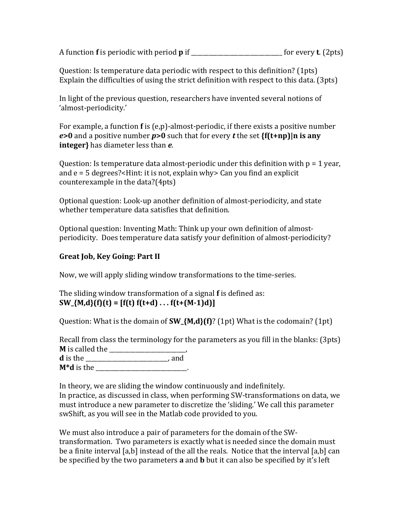A function **f** is periodic with period **p** if \_\_\_\_\_\_\_\_\_\_\_\_\_\_\_\_\_\_\_\_\_\_\_\_\_ for every **t**. (2pts)

Question: Is temperature data periodic with respect to this definition? (1pts) Explain the difficulties of using the strict definition with respect to this data. (3pts)

In light of the previous question, researchers have invented several notions of 'almost-periodicity.'

For example, a function  $f$  is  $(e, p)$ -almost-periodic, if there exists a positive number  $e > 0$  and a positive number  $p > 0$  such that for every *t* the set  $\{f(t+np) | n \text{ is any } n\}$ **integer**} has diameter less than *e*.

Question: Is temperature data almost-periodic under this definition with  $p = 1$  year, and  $e = 5$  degrees?<Hint: it is not, explain why> Can you find an explicit counterexample in the data? $(4pts)$ 

Optional question: Look-up another definition of almost-periodicity, and state whether temperature data satisfies that definition.

Optional question: Inventing Math: Think up your own definition of almostperiodicity. Does temperature data satisfy your definition of almost-periodicity?

# **Great Job, Key Going: Part II**

Now, we will apply sliding window transformations to the time-series.

The sliding window transformation of a signal **f** is defined as:  $SW_{\mathcal{A}}(M,d)$  (f)(t) = [f(t) f(t+d)  $\dots$  f(t+(M-1)d)]

Question: What is the domain of **SW\_{M,d}(f)**? (1pt) What is the codomain? (1pt)

Recall from class the terminology for the parameters as you fill in the blanks:  $(3pts)$ **M** is called the \_\_\_\_\_\_\_\_\_\_\_\_\_\_\_\_\_\_\_\_\_\_\_\_\_\_, **d** is the \_\_\_\_\_\_\_\_\_\_\_\_\_\_\_\_\_\_\_\_\_\_\_\_\_\_\_\_, and **M\*d** is the \_\_\_\_\_\_\_\_\_\_\_\_\_\_\_\_\_\_\_\_\_\_\_\_\_\_\_\_\_\_\_.

In theory, we are sliding the window continuously and indefinitely. In practice, as discussed in class, when performing SW-transformations on data, we must introduce a new parameter to discretize the 'sliding.' We call this parameter swShift, as you will see in the Matlab code provided to you.

We must also introduce a pair of parameters for the domain of the SWtransformation. Two parameters is exactly what is needed since the domain must be a finite interval [a,b] instead of the all the reals. Notice that the interval [a,b] can be specified by the two parameters **a** and **b** but it can also be specified by it's left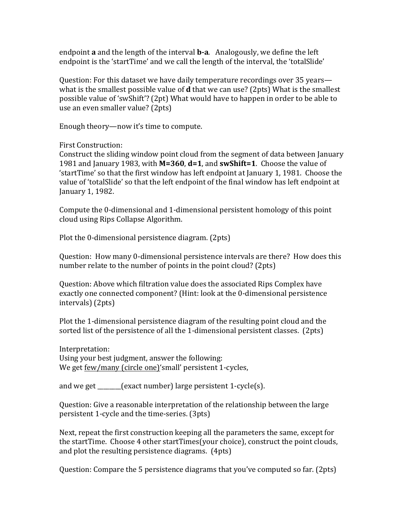endpoint **a** and the length of the interval **b-a**. Analogously, we define the left endpoint is the 'startTime' and we call the length of the interval, the 'totalSlide'

Question: For this dataset we have daily temperature recordings over 35 years what is the smallest possible value of **d** that we can use? (2pts) What is the smallest possible value of 'swShift'? (2pt) What would have to happen in order to be able to use an even smaller value? (2pts)

Enough theory—now it's time to compute.

First Construction:

Construct the sliding window point cloud from the segment of data between January 1981 and January 1983, with **M=360, d=1**, and **swShift=1**. Choose the value of 'startTime' so that the first window has left endpoint at January 1, 1981. Choose the value of 'totalSlide' so that the left endpoint of the final window has left endpoint at January 1, 1982.

Compute the 0-dimensional and 1-dimensional persistent homology of this point cloud using Rips Collapse Algorithm.

Plot the 0-dimensional persistence diagram. (2pts)

Question: How many 0-dimensional persistence intervals are there? How does this number relate to the number of points in the point cloud? (2pts)

Question: Above which filtration value does the associated Rips Complex have exactly one connected component? (Hint: look at the 0-dimensional persistence intervals) (2pts)

Plot the 1-dimensional persistence diagram of the resulting point cloud and the sorted list of the persistence of all the 1-dimensional persistent classes.  $(2pts)$ 

Interpretation: Using your best judgment, answer the following: We get few/many (circle one)'small' persistent 1-cycles,

and we get  $\qquad$  (exact number) large persistent 1-cycle(s).

Question: Give a reasonable interpretation of the relationship between the large persistent 1-cycle and the time-series. (3pts)

Next, repeat the first construction keeping all the parameters the same, except for the startTime. Choose 4 other startTimes(your choice), construct the point clouds, and plot the resulting persistence diagrams. (4pts)

Question: Compare the 5 persistence diagrams that you've computed so far. (2pts)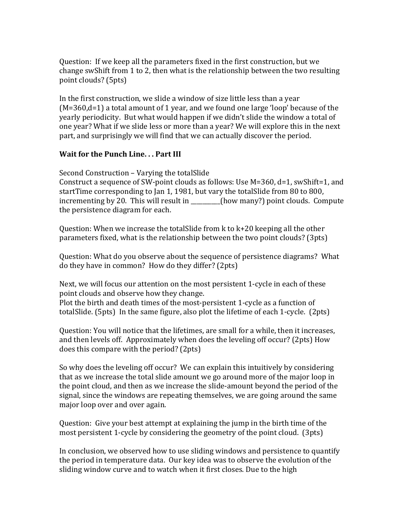Question: If we keep all the parameters fixed in the first construction, but we change swShift from 1 to 2, then what is the relationship between the two resulting point clouds? (5pts)

In the first construction, we slide a window of size little less than a year  $(M=360,d=1)$  a total amount of 1 year, and we found one large 'loop' because of the yearly periodicity. But what would happen if we didn't slide the window a total of one year? What if we slide less or more than a year? We will explore this in the next part, and surprisingly we will find that we can actually discover the period.

#### **Wait for the Punch Line... Part III**

Second Construction – Varying the totalSlide

Construct a sequence of SW-point clouds as follows: Use  $M=360$ ,  $d=1$ , swShift=1, and startTime corresponding to Jan 1, 1981, but vary the totalSlide from 80 to 800,  $\frac{1}{2}$  incrementing by 20. This will result in  $\frac{1}{2}$  (how many?) point clouds. Compute the persistence diagram for each.

Question: When we increase the total Slide from  $k$  to  $k+20$  keeping all the other parameters fixed, what is the relationship between the two point clouds? (3pts)

Question: What do you observe about the sequence of persistence diagrams? What do they have in common? How do they differ? (2pts)

Next, we will focus our attention on the most persistent 1-cycle in each of these point clouds and observe how they change.

Plot the birth and death times of the most-persistent 1-cycle as a function of totalSlide.  $(5pts)$  In the same figure, also plot the lifetime of each 1-cycle.  $(2pts)$ 

Question: You will notice that the lifetimes, are small for a while, then it increases, and then levels off. Approximately when does the leveling off occur? (2pts) How does this compare with the period? (2pts)

So why does the leveling off occur? We can explain this intuitively by considering that as we increase the total slide amount we go around more of the major loop in the point cloud, and then as we increase the slide-amount beyond the period of the signal, since the windows are repeating themselves, we are going around the same major loop over and over again.

Question: Give your best attempt at explaining the jump in the birth time of the most persistent 1-cycle by considering the geometry of the point cloud.  $(3pts)$ 

In conclusion, we observed how to use sliding windows and persistence to quantify the period in temperature data. Our key idea was to observe the evolution of the sliding window curve and to watch when it first closes. Due to the high